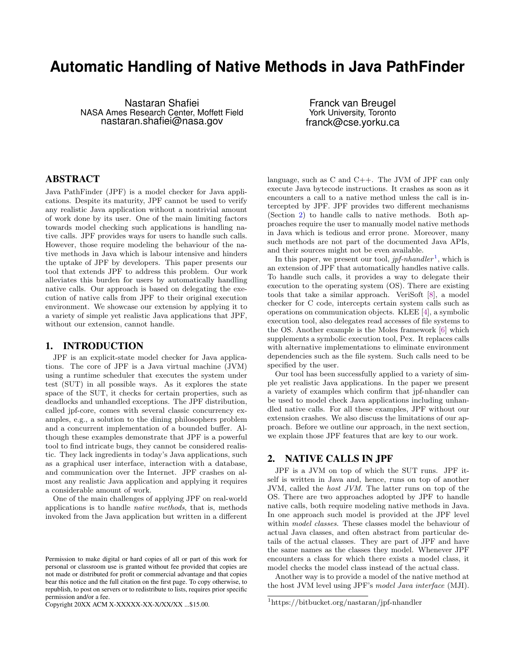# **Automatic Handling of Native Methods in Java PathFinder**

Nastaran Shafiei NASA Ames Research Center, Moffett Field nastaran.shafiei@nasa.gov

Franck van Breugel York University, Toronto franck@cse.yorku.ca

## ABSTRACT

Java PathFinder (JPF) is a model checker for Java applications. Despite its maturity, JPF cannot be used to verify any realistic Java application without a nontrivial amount of work done by its user. One of the main limiting factors towards model checking such applications is handling native calls. JPF provides ways for users to handle such calls. However, those require modeling the behaviour of the native methods in Java which is labour intensive and hinders the uptake of JPF by developers. This paper presents our tool that extends JPF to address this problem. Our work alleviates this burden for users by automatically handling native calls. Our approach is based on delegating the execution of native calls from JPF to their original execution environment. We showcase our extension by applying it to a variety of simple yet realistic Java applications that JPF, without our extension, cannot handle.

### 1. INTRODUCTION

JPF is an explicit-state model checker for Java applications. The core of JPF is a Java virtual machine (JVM) using a runtime scheduler that executes the system under test (SUT) in all possible ways. As it explores the state space of the SUT, it checks for certain properties, such as deadlocks and unhandled exceptions. The JPF distribution, called jpf-core, comes with several classic concurrency examples, e.g., a solution to the dining philosophers problem and a concurrent implementation of a bounded buffer. Although these examples demonstrate that JPF is a powerful tool to find intricate bugs, they cannot be considered realistic. They lack ingredients in today's Java applications, such as a graphical user interface, interaction with a database, and communication over the Internet. JPF crashes on almost any realistic Java application and applying it requires a considerable amount of work.

One of the main challenges of applying JPF on real-world applications is to handle native methods, that is, methods invoked from the Java application but written in a different

Copyright 20XX ACM X-XXXXX-XX-X/XX/XX ...\$15.00.

language, such as C and C++. The JVM of JPF can only execute Java bytecode instructions. It crashes as soon as it encounters a call to a native method unless the call is intercepted by JPF. JPF provides two different mechanisms (Section [2\)](#page-0-0) to handle calls to native methods. Both approaches require the user to manually model native methods in Java which is tedious and error prone. Moreover, many such methods are not part of the documented Java APIs, and their sources might not be even available.

In this paper, we present our tool, *jpf-nhandler*<sup>[1](#page-0-1)</sup>, which is an extension of JPF that automatically handles native calls. To handle such calls, it provides a way to delegate their execution to the operating system (OS). There are existing tools that take a similar approach. VeriSoft [\[8\]](#page-3-0), a model checker for C code, intercepts certain system calls such as operations on communication objects. KLEE [\[4\]](#page-3-1), a symbolic execution tool, also delegates read accesses of file systems to the OS. Another example is the Moles framework [\[6\]](#page-3-2) which supplements a symbolic execution tool, Pex. It replaces calls with alternative implementations to eliminate environment dependencies such as the file system. Such calls need to be specified by the user.

Our tool has been successfully applied to a variety of simple yet realistic Java applications. In the paper we present a variety of examples which confirm that jpf-nhandler can be used to model check Java applications including unhandled native calls. For all these examples, JPF without our extension crashes. We also discuss the limitations of our approach. Before we outline our approach, in the next section, we explain those JPF features that are key to our work.

# <span id="page-0-0"></span>2. NATIVE CALLS IN JPF

JPF is a JVM on top of which the SUT runs. JPF itself is written in Java and, hence, runs on top of another JVM, called the host JVM. The latter runs on top of the OS. There are two approaches adopted by JPF to handle native calls, both require modeling native methods in Java. In one approach such model is provided at the JPF level within model classes. These classes model the behaviour of actual Java classes, and often abstract from particular details of the actual classes. They are part of JPF and have the same names as the classes they model. Whenever JPF encounters a class for which there exists a model class, it model checks the model class instead of the actual class.

Another way is to provide a model of the native method at the host JVM level using JPF's model Java interface (MJI).

Permission to make digital or hard copies of all or part of this work for personal or classroom use is granted without fee provided that copies are not made or distributed for profit or commercial advantage and that copies bear this notice and the full citation on the first page. To copy otherwise, to republish, to post on servers or to redistribute to lists, requires prior specific permission and/or a fee.

<span id="page-0-1"></span><sup>1</sup>https://bitbucket.org/nastaran/jpf-nhandler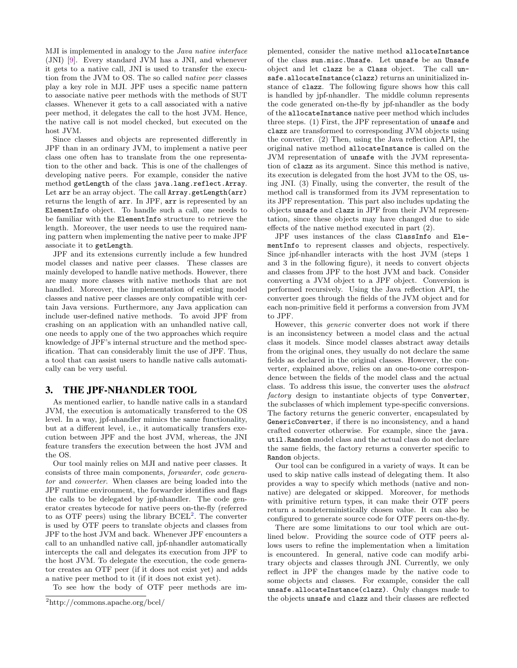MJI is implemented in analogy to the Java native interface (JNI) [\[9\]](#page-3-3). Every standard JVM has a JNI, and whenever it gets to a native call, JNI is used to transfer the execution from the JVM to OS. The so called native peer classes play a key role in MJI. JPF uses a specific name pattern to associate native peer methods with the methods of SUT classes. Whenever it gets to a call associated with a native peer method, it delegates the call to the host JVM. Hence, the native call is not model checked, but executed on the host JVM.

Since classes and objects are represented differently in JPF than in an ordinary JVM, to implement a native peer class one often has to translate from the one representation to the other and back. This is one of the challenges of developing native peers. For example, consider the native method getLength of the class java.lang.reflect.Array. Let arr be an array object. The call Array.getLength(arr) returns the length of arr. In JPF, arr is represented by an ElementInfo object. To handle such a call, one needs to be familiar with the ElementInfo structure to retrieve the length. Moreover, the user needs to use the required naming pattern when implementing the native peer to make JPF associate it to getLength.

JPF and its extensions currently include a few hundred model classes and native peer classes. These classes are mainly developed to handle native methods. However, there are many more classes with native methods that are not handled. Moreover, the implementation of existing model classes and native peer classes are only compatible with certain Java versions. Furthermore, any Java application can include user-defined native methods. To avoid JPF from crashing on an application with an unhandled native call, one needs to apply one of the two approaches which require knowledge of JPF's internal structure and the method specification. That can considerably limit the use of JPF. Thus, a tool that can assist users to handle native calls automatically can be very useful.

# <span id="page-1-1"></span>3. THE JPF-NHANDLER TOOL

As mentioned earlier, to handle native calls in a standard JVM, the execution is automatically transferred to the OS level. In a way, jpf-nhandler mimics the same functionality, but at a different level, i.e., it automatically transfers execution between JPF and the host JVM, whereas, the JNI feature transfers the execution between the host JVM and the OS.

Our tool mainly relies on MJI and native peer classes. It consists of three main components, forwarder, code generator and converter. When classes are being loaded into the JPF runtime environment, the forwarder identifies and flags the calls to be delegated by jpf-nhandler. The code generator creates bytecode for native peers on-the-fly (referred to as OTF peers) using the library  $BCEL<sup>2</sup>$  $BCEL<sup>2</sup>$  $BCEL<sup>2</sup>$ . The converter is used by OTF peers to translate objects and classes from JPF to the host JVM and back. Whenever JPF encounters a call to an unhandled native call, jpf-nhandler automatically intercepts the call and delegates its execution from JPF to the host JVM. To delegate the execution, the code generator creates an OTF peer (if it does not exist yet) and adds a native peer method to it (if it does not exist yet).

To see how the body of OTF peer methods are im-

plemented, consider the native method allocateInstance of the class sun.misc.Unsafe. Let unsafe be an Unsafe object and let clazz be a Class object. The call unsafe.allocateInstance(clazz) returns an uninitialized instance of clazz. The following figure shows how this call is handled by jpf-nhandler. The middle column represents the code generated on-the-fly by jpf-nhandler as the body of the allocateInstance native peer method which includes three steps. (1) First, the JPF representation of unsafe and clazz are transformed to corresponding JVM objects using the converter. (2) Then, using the Java reflection API, the original native method allocateInstance is called on the JVM representation of unsafe with the JVM representation of clazz as its argument. Since this method is native, its execution is delegated from the host JVM to the OS, using JNI. (3) Finally, using the converter, the result of the method call is transformed from its JVM representation to its JPF representation. This part also includes updating the objects unsafe and clazz in JPF from their JVM representation, since these objects may have changed due to side effects of the native method executed in part (2).

JPF uses instances of the class ClassInfo and ElementInfo to represent classes and objects, respectively. Since jpf-nhandler interacts with the host JVM (steps 1 and 3 in the following figure), it needs to convert objects and classes from JPF to the host JVM and back. Consider converting a JVM object to a JPF object. Conversion is performed recursively. Using the Java reflection API, the converter goes through the fields of the JVM object and for each non-primitive field it performs a conversion from JVM to JPF.

However, this generic converter does not work if there is an inconsistency between a model class and the actual class it models. Since model classes abstract away details from the original ones, they usually do not declare the same fields as declared in the original classes. However, the converter, explained above, relies on an one-to-one correspondence between the fields of the model class and the actual class. To address this issue, the converter uses the abstract factory design to instantiate objects of type Converter, the subclasses of which implement type-specific conversions. The factory returns the generic converter, encapsulated by GenericConverter, if there is no inconsistency, and a hand crafted converter otherwise. For example, since the java. util.Random model class and the actual class do not declare the same fields, the factory returns a converter specific to Random objects.

Our tool can be configured in a variety of ways. It can be used to skip native calls instead of delegating them. It also provides a way to specify which methods (native and nonnative) are delegated or skipped. Moreover, for methods with primitive return types, it can make their OTF peers return a nondeterministically chosen value. It can also be configured to generate source code for OTF peers on-the-fly.

There are some limitations to our tool which are outlined below. Providing the source code of OTF peers allows users to refine the implementation when a limitation is encountered. In general, native code can modify arbitrary objects and classes through JNI. Currently, we only reflect in JPF the changes made by the native code to some objects and classes. For example, consider the call unsafe.allocateInstance(clazz). Only changes made to the objects unsafe and clazz and their classes are reflected

<span id="page-1-0"></span><sup>2</sup>http://commons.apache.org/bcel/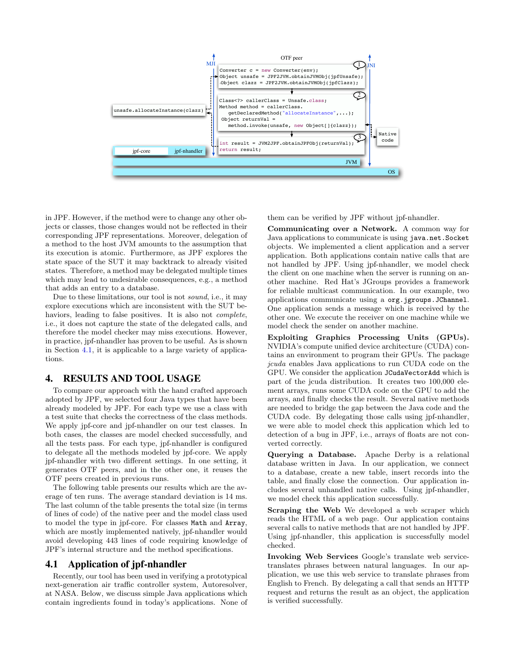

in JPF. However, if the method were to change any other objects or classes, those changes would not be reflected in their corresponding JPF representations. Moreover, delegation of a method to the host JVM amounts to the assumption that its execution is atomic. Furthermore, as JPF explores the state space of the SUT it may backtrack to already visited states. Therefore, a method may be delegated multiple times which may lead to undesirable consequences, e.g., a method that adds an entry to a database.

Due to these limitations, our tool is not sound, i.e., it may explore executions which are inconsistent with the SUT behaviors, leading to false positives. It is also not complete, i.e., it does not capture the state of the delegated calls, and therefore the model checker may miss executions. However, in practice, jpf-nhandler has proven to be useful. As is shown in Section [4.1,](#page-2-0) it is applicable to a large variety of applications.

### 4. RESULTS AND TOOL USAGE

To compare our approach with the hand crafted approach adopted by JPF, we selected four Java types that have been already modeled by JPF. For each type we use a class with a test suite that checks the correctness of the class methods. We apply jpf-core and jpf-nhandler on our test classes. In both cases, the classes are model checked successfully, and all the tests pass. For each type, jpf-nhandler is configured to delegate all the methods modeled by jpf-core. We apply jpf-nhandler with two different settings. In one setting, it generates OTF peers, and in the other one, it reuses the OTF peers created in previous runs.

The following table presents our results which are the average of ten runs. The average standard deviation is 14 ms. The last column of the table presents the total size (in terms of lines of code) of the native peer and the model class used to model the type in jpf-core. For classes Math and Array, which are mostly implemented natively, jpf-nhandler would avoid developing 443 lines of code requiring knowledge of JPF's internal structure and the method specifications.

#### <span id="page-2-0"></span>4.1 Application of jpf-nhandler

Recently, our tool has been used in verifying a prototypical next-generation air traffic controller system, Autoresolver, at NASA. Below, we discuss simple Java applications which contain ingredients found in today's applications. None of them can be verified by JPF without jpf-nhandler.

Communicating over a Network. A common way for Java applications to communicate is using java.net.Socket objects. We implemented a client application and a server application. Both applications contain native calls that are not handled by JPF. Using jpf-nhandler, we model check the client on one machine when the server is running on another machine. Red Hat's JGroups provides a framework for reliable multicast communication. In our example, two applications communicate using a org.jgroups.JChannel. One application sends a message which is received by the other one. We execute the receiver on one machine while we model check the sender on another machine.

Exploiting Graphics Processing Units (GPUs). NVIDIA's compute unified device architecture (CUDA) contains an environment to program their GPUs. The package jcuda enables Java applications to run CUDA code on the GPU. We consider the application JCudaVectorAdd which is part of the jcuda distribution. It creates two 100,000 element arrays, runs some CUDA code on the GPU to add the arrays, and finally checks the result. Several native methods are needed to bridge the gap between the Java code and the CUDA code. By delegating those calls using jpf-nhandler, we were able to model check this application which led to detection of a bug in JPF, i.e., arrays of floats are not converted correctly.

Querying a Database. Apache Derby is a relational database written in Java. In our application, we connect to a database, create a new table, insert records into the table, and finally close the connection. Our application includes several unhandled native calls. Using jpf-nhandler, we model check this application successfully.

Scraping the Web We developed a web scraper which reads the HTML of a web page. Our application contains several calls to native methods that are not handled by JPF. Using jpf-nhandler, this application is successfully model checked.

Invoking Web Services Google's translate web servicetranslates phrases between natural languages. In our application, we use this web service to translate phrases from English to French. By delegating a call that sends an HTTP request and returns the result as an object, the application is verified successfully.